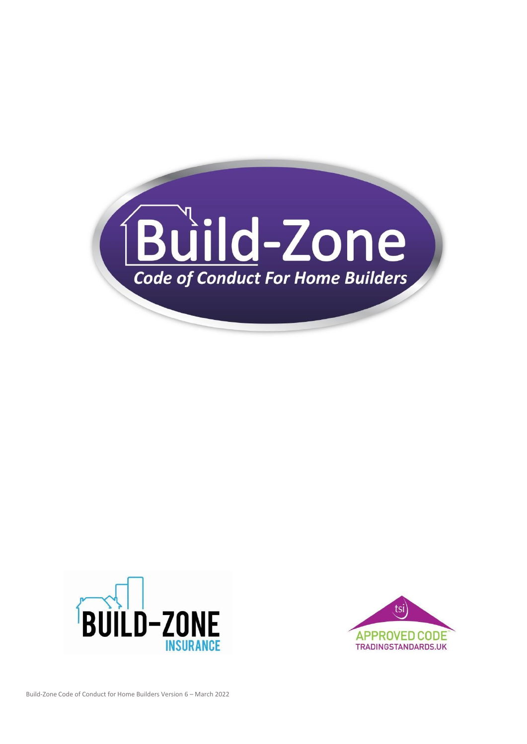



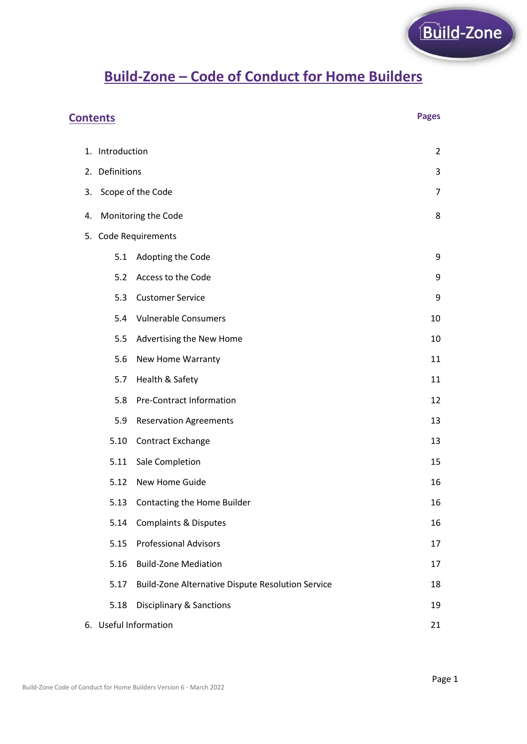# **Build-Zone – Code of Conduct for Home Builders**

| <b>Pages</b><br><b>Contents</b> |                             |                                                   |    |  |
|---------------------------------|-----------------------------|---------------------------------------------------|----|--|
|                                 | 1. Introduction             |                                                   | 2  |  |
|                                 | 2. Definitions              |                                                   |    |  |
| 3.                              | Scope of the Code           |                                                   |    |  |
| 4.                              | Monitoring the Code<br>8    |                                                   |    |  |
|                                 | 5. Code Requirements        |                                                   |    |  |
|                                 | 5.1                         | Adopting the Code                                 | 9  |  |
|                                 | 5.2                         | Access to the Code                                | 9  |  |
|                                 | 5.3                         | <b>Customer Service</b>                           | 9  |  |
|                                 | 5.4                         | <b>Vulnerable Consumers</b>                       | 10 |  |
|                                 | 5.5                         | Advertising the New Home                          | 10 |  |
|                                 | 5.6                         | New Home Warranty                                 | 11 |  |
|                                 | 5.7                         | Health & Safety                                   | 11 |  |
|                                 | 5.8                         | <b>Pre-Contract Information</b>                   | 12 |  |
|                                 | 5.9                         | <b>Reservation Agreements</b>                     | 13 |  |
|                                 | 5.10                        | Contract Exchange                                 | 13 |  |
|                                 | 5.11                        | Sale Completion                                   | 15 |  |
|                                 | 5.12                        | New Home Guide                                    | 16 |  |
|                                 |                             | 5.13 Contacting the Home Builder                  | 16 |  |
|                                 | 5.14                        | <b>Complaints &amp; Disputes</b>                  | 16 |  |
|                                 | 5.15                        | <b>Professional Advisors</b>                      | 17 |  |
|                                 | 5.16                        | <b>Build-Zone Mediation</b>                       | 17 |  |
|                                 | 5.17                        | Build-Zone Alternative Dispute Resolution Service | 18 |  |
|                                 | 5.18                        | <b>Disciplinary &amp; Sanctions</b>               | 19 |  |
|                                 | 6. Useful Information<br>21 |                                                   |    |  |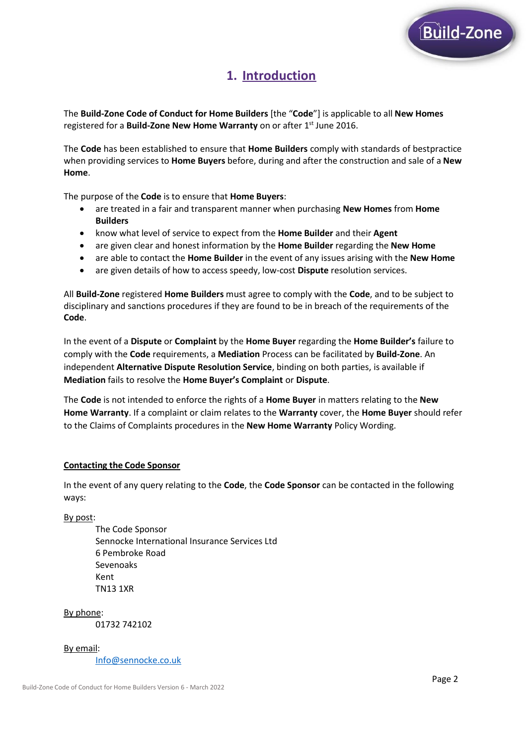

# **1. Introduction**

The **Build-Zone Code of Conduct for Home Builders** [the "**Code**"] is applicable to all **New Homes** registered for a **Build-Zone New Home Warranty** on or after 1 st June 2016.

The **Code** has been established to ensure that **Home Builders** comply with standards of bestpractice when providing services to **Home Buyers** before, during and after the construction and sale of a **New Home**.

The purpose of the **Code** is to ensure that **Home Buyers**:

- are treated in a fair and transparent manner when purchasing **New Homes** from **Home Builders**
- know what level of service to expect from the **Home Builder** and their **Agent**
- are given clear and honest information by the **Home Builder** regarding the **New Home**
- are able to contact the **Home Builder** in the event of any issues arising with the **New Home**
- are given details of how to access speedy, low-cost **Dispute** resolution services.

All **Build-Zone** registered **Home Builders** must agree to comply with the **Code**, and to be subject to disciplinary and sanctions procedures if they are found to be in breach of the requirements of the **Code**.

In the event of a **Dispute** or **Complaint** by the **Home Buyer** regarding the **Home Builder's** failure to comply with the **Code** requirements, a **Mediation** Process can be facilitated by **Build-Zone**. An independent **Alternative Dispute Resolution Service**, binding on both parties, is available if **Mediation** fails to resolve the **Home Buyer's Complaint** or **Dispute**.

The **Code** is not intended to enforce the rights of a **Home Buyer** in matters relating to the **New Home Warranty**. If a complaint or claim relates to the **Warranty** cover, the **Home Buyer** should refer to the Claims of Complaints procedures in the **New Home Warranty** Policy Wording.

#### **Contacting the Code Sponsor**

In the event of any query relating to the **Code**, the **Code Sponsor** can be contacted in the following ways:

By post:

The Code Sponsor Sennocke International Insurance Services Ltd 6 Pembroke Road Sevenoaks Kent TN13 1XR

By phone: 01732 742102

By email: [Info@sennocke.co.uk](mailto:Info@sennocke.co.uk)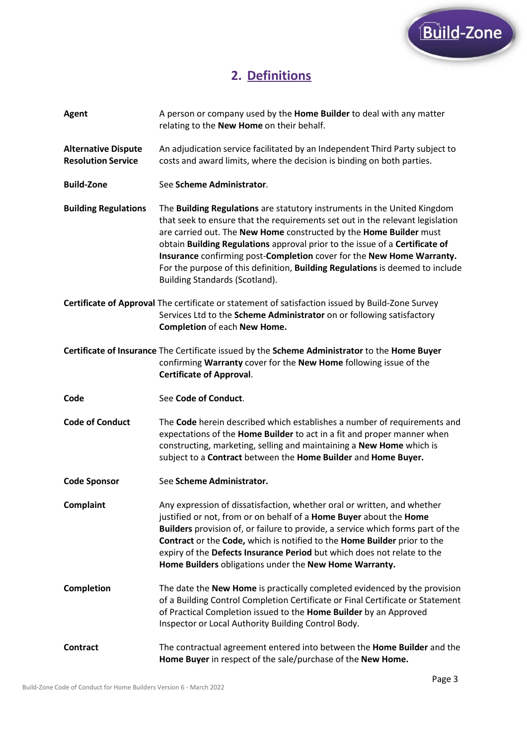

# **2. Definitions**

| Agent                                                   | A person or company used by the Home Builder to deal with any matter<br>relating to the New Home on their behalf.                                                                                                                                                                                                                                                                                                                                                                                          |
|---------------------------------------------------------|------------------------------------------------------------------------------------------------------------------------------------------------------------------------------------------------------------------------------------------------------------------------------------------------------------------------------------------------------------------------------------------------------------------------------------------------------------------------------------------------------------|
| <b>Alternative Dispute</b><br><b>Resolution Service</b> | An adjudication service facilitated by an Independent Third Party subject to<br>costs and award limits, where the decision is binding on both parties.                                                                                                                                                                                                                                                                                                                                                     |
| <b>Build-Zone</b>                                       | See Scheme Administrator.                                                                                                                                                                                                                                                                                                                                                                                                                                                                                  |
| <b>Building Regulations</b>                             | The Building Regulations are statutory instruments in the United Kingdom<br>that seek to ensure that the requirements set out in the relevant legislation<br>are carried out. The New Home constructed by the Home Builder must<br>obtain Building Regulations approval prior to the issue of a Certificate of<br>Insurance confirming post-Completion cover for the New Home Warranty.<br>For the purpose of this definition, Building Regulations is deemed to include<br>Building Standards (Scotland). |
|                                                         | Certificate of Approval The certificate or statement of satisfaction issued by Build-Zone Survey<br>Services Ltd to the Scheme Administrator on or following satisfactory<br><b>Completion of each New Home.</b>                                                                                                                                                                                                                                                                                           |
|                                                         | Certificate of Insurance The Certificate issued by the Scheme Administrator to the Home Buyer<br>confirming Warranty cover for the New Home following issue of the<br><b>Certificate of Approval.</b>                                                                                                                                                                                                                                                                                                      |
|                                                         |                                                                                                                                                                                                                                                                                                                                                                                                                                                                                                            |
| Code                                                    | See Code of Conduct.                                                                                                                                                                                                                                                                                                                                                                                                                                                                                       |
| <b>Code of Conduct</b>                                  | The Code herein described which establishes a number of requirements and<br>expectations of the Home Builder to act in a fit and proper manner when<br>constructing, marketing, selling and maintaining a New Home which is<br>subject to a Contract between the Home Builder and Home Buyer.                                                                                                                                                                                                              |
| <b>Code Sponsor</b>                                     | See Scheme Administrator.                                                                                                                                                                                                                                                                                                                                                                                                                                                                                  |
| <b>Complaint</b>                                        | Any expression of dissatisfaction, whether oral or written, and whether<br>justified or not, from or on behalf of a Home Buyer about the Home<br>Builders provision of, or failure to provide, a service which forms part of the<br>Contract or the Code, which is notified to the Home Builder prior to the<br>expiry of the Defects Insurance Period but which does not relate to the<br>Home Builders obligations under the New Home Warranty.                                                          |
| <b>Completion</b>                                       | The date the New Home is practically completed evidenced by the provision<br>of a Building Control Completion Certificate or Final Certificate or Statement<br>of Practical Completion issued to the Home Builder by an Approved<br>Inspector or Local Authority Building Control Body.                                                                                                                                                                                                                    |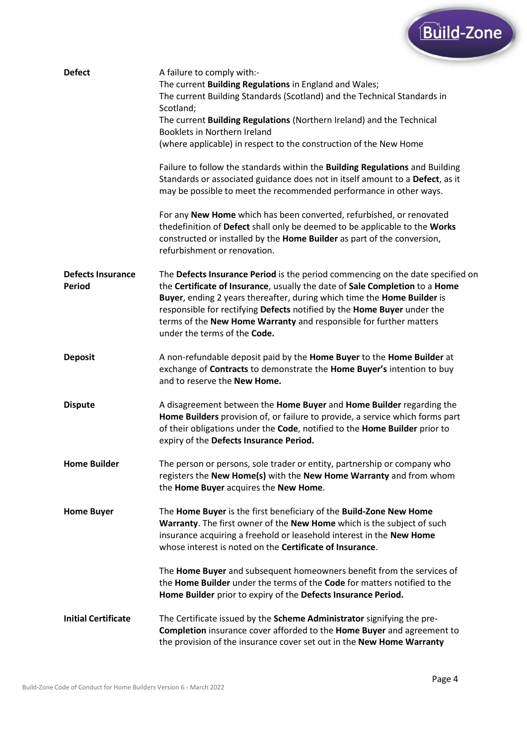

| <b>Defect</b>                             | A failure to comply with:-<br>The current Building Regulations in England and Wales;<br>The current Building Standards (Scotland) and the Technical Standards in<br>Scotland;<br>The current Building Regulations (Northern Ireland) and the Technical<br>Booklets in Northern Ireland<br>(where applicable) in respect to the construction of the New Home                                                               |
|-------------------------------------------|---------------------------------------------------------------------------------------------------------------------------------------------------------------------------------------------------------------------------------------------------------------------------------------------------------------------------------------------------------------------------------------------------------------------------|
|                                           | Failure to follow the standards within the Building Regulations and Building<br>Standards or associated guidance does not in itself amount to a Defect, as it<br>may be possible to meet the recommended performance in other ways.                                                                                                                                                                                       |
|                                           | For any New Home which has been converted, refurbished, or renovated<br>thedefinition of Defect shall only be deemed to be applicable to the Works<br>constructed or installed by the Home Builder as part of the conversion,<br>refurbishment or renovation.                                                                                                                                                             |
| <b>Defects Insurance</b><br><b>Period</b> | The Defects Insurance Period is the period commencing on the date specified on<br>the Certificate of Insurance, usually the date of Sale Completion to a Home<br>Buyer, ending 2 years thereafter, during which time the Home Builder is<br>responsible for rectifying Defects notified by the Home Buyer under the<br>terms of the New Home Warranty and responsible for further matters<br>under the terms of the Code. |
| <b>Deposit</b>                            | A non-refundable deposit paid by the Home Buyer to the Home Builder at<br>exchange of Contracts to demonstrate the Home Buyer's intention to buy<br>and to reserve the New Home.                                                                                                                                                                                                                                          |
| <b>Dispute</b>                            | A disagreement between the Home Buyer and Home Builder regarding the<br>Home Builders provision of, or failure to provide, a service which forms part<br>of their obligations under the Code, notified to the Home Builder prior to<br>expiry of the Defects Insurance Period.                                                                                                                                            |
| <b>Home Builder</b>                       | The person or persons, sole trader or entity, partnership or company who<br>registers the New Home(s) with the New Home Warranty and from whom<br>the Home Buyer acquires the New Home.                                                                                                                                                                                                                                   |
| <b>Home Buyer</b>                         | The Home Buyer is the first beneficiary of the Build-Zone New Home<br>Warranty. The first owner of the New Home which is the subject of such<br>insurance acquiring a freehold or leasehold interest in the New Home<br>whose interest is noted on the Certificate of Insurance.                                                                                                                                          |
|                                           | The Home Buyer and subsequent homeowners benefit from the services of<br>the Home Builder under the terms of the Code for matters notified to the<br>Home Builder prior to expiry of the Defects Insurance Period.                                                                                                                                                                                                        |
| <b>Initial Certificate</b>                | The Certificate issued by the Scheme Administrator signifying the pre-<br>Completion insurance cover afforded to the Home Buyer and agreement to<br>the provision of the insurance cover set out in the New Home Warranty                                                                                                                                                                                                 |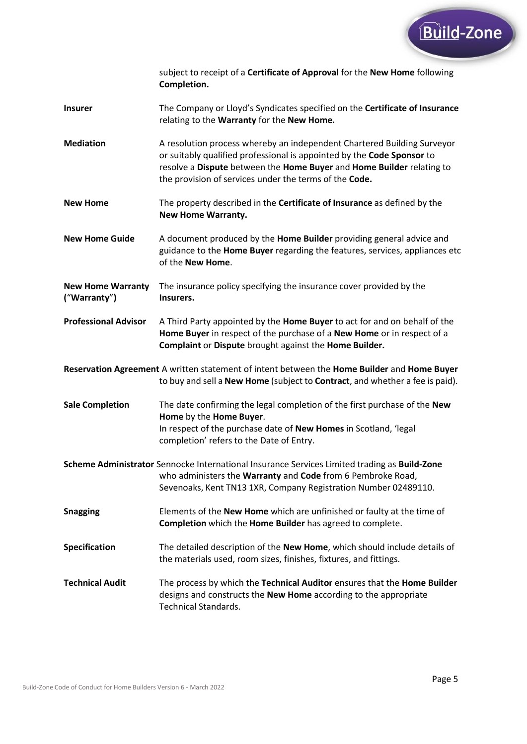

subject to receipt of a **Certificate of Approval** for the **New Home** following **Completion.**

- **Insurer** The Company or Lloyd's Syndicates specified on the **Certificate of Insurance** relating to the **Warranty** for the **New Home.**
- **Mediation** A resolution process whereby an independent Chartered Building Surveyor or suitably qualified professional is appointed by the **Code Sponsor** to resolve a **Dispute** between the **Home Buyer** and **Home Builder** relating to the provision of services under the terms of the **Code.**
- **New Home** The property described in the **Certificate of Insurance** as defined by the **New Home Warranty.**
- **New Home Guide** A document produced by the **Home Builder** providing general advice and guidance to the **Home Buyer** regarding the features, services, appliances etc of the **New Home**.
- **New Home Warranty** The insurance policy specifying the insurance cover provided by the **(**"**Warranty**"**) Insurers.**
- **Professional Advisor** A Third Party appointed by the **Home Buyer** to act for and on behalf of the **Home Buyer** in respect of the purchase of a **New Home** or in respect of a **Complaint** or **Dispute** brought against the **Home Builder.**

**Reservation Agreement** A written statement of intent between the **Home Builder** and **Home Buyer** to buy and sell a **New Home** (subject to **Contract**, and whether a fee is paid).

- **Sale Completion** The date confirming the legal completion of the first purchase of the **New Home** by the **Home Buyer**. In respect of the purchase date of **New Homes** in Scotland, 'legal completion' refers to the Date of Entry.
- **Scheme Administrator** Sennocke International Insurance Services Limited trading as **Build-Zone** who administers the **Warranty** and **Code** from 6 Pembroke Road, Sevenoaks, Kent TN13 1XR, Company Registration Number 02489110.
- **Snagging** Elements of the **New Home** which are unfinished or faulty at the time of **Completion** which the **Home Builder** has agreed to complete.
- **Specification** The detailed description of the **New Home**, which should include details of the materials used, room sizes, finishes, fixtures, and fittings.
- **Technical Audit** The process by which the **Technical Auditor** ensures that the **Home Builder** designs and constructs the **New Home** according to the appropriate Technical Standards.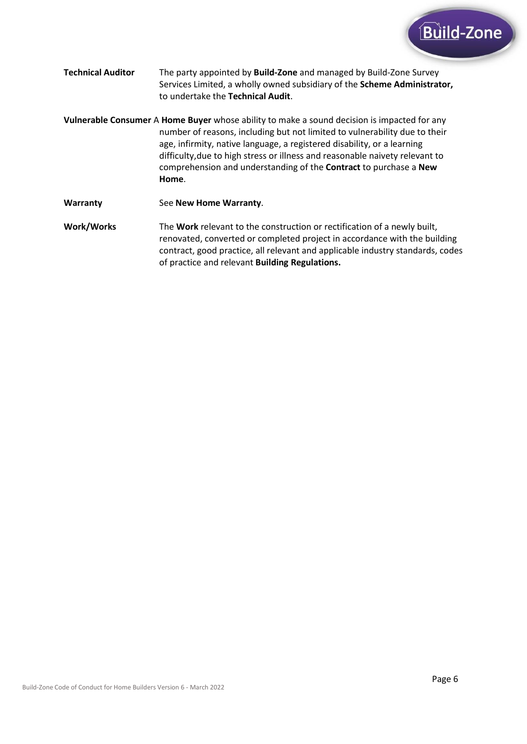

- **Technical Auditor** The party appointed by **Build-Zone** and managed by Build-Zone Survey Services Limited, a wholly owned subsidiary of the **Scheme Administrator,** to undertake the **Technical Audit**.
- **Vulnerable Consumer** A **Home Buyer** whose ability to make a sound decision is impacted for any number of reasons, including but not limited to vulnerability due to their age, infirmity, native language, a registered disability, or a learning difficulty,due to high stress or illness and reasonable naivety relevant to comprehension and understanding of the **Contract** to purchase a **New Home**.
- **Warranty** See **New Home Warranty**.
- **Work/Works** The **Work** relevant to the construction or rectification of a newly built, renovated, converted or completed project in accordance with the building contract, good practice, all relevant and applicable industry standards, codes of practice and relevant **Building Regulations.**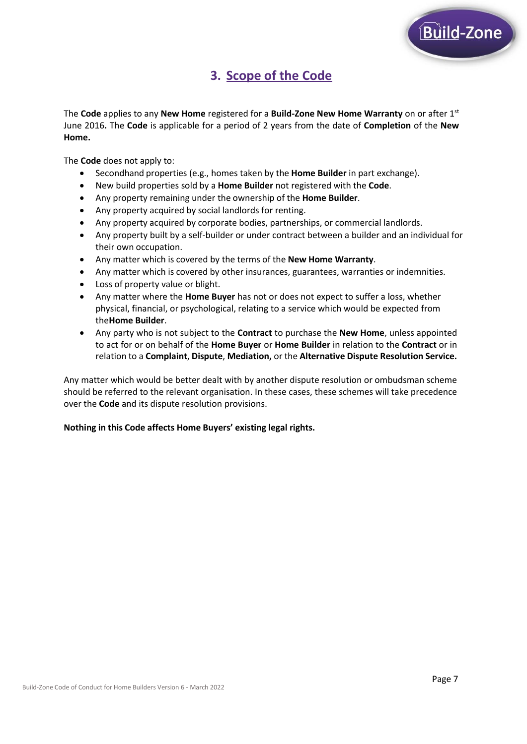

# **3. Scope of the Code**

The **Code** applies to any **New Home** registered for a **Build-Zone New Home Warranty** on or after 1st June 2016**.** The **Code** is applicable for a period of 2 years from the date of **Completion** of the **New Home.**

The **Code** does not apply to:

- Secondhand properties (e.g., homes taken by the **Home Builder** in part exchange).
- New build properties sold by a **Home Builder** not registered with the **Code**.
- Any property remaining under the ownership of the **Home Builder**.
- Any property acquired by social landlords for renting.
- Any property acquired by corporate bodies, partnerships, or commercial landlords.
- Any property built by a self-builder or under contract between a builder and an individual for their own occupation.
- Any matter which is covered by the terms of the **New Home Warranty**.
- Any matter which is covered by other insurances, guarantees, warranties or indemnities.
- Loss of property value or blight.
- Any matter where the **Home Buyer** has not or does not expect to suffer a loss, whether physical, financial, or psychological, relating to a service which would be expected from the**Home Builder**.
- Any party who is not subject to the **Contract** to purchase the **New Home**, unless appointed to act for or on behalf of the **Home Buyer** or **Home Builder** in relation to the **Contract** or in relation to a **Complaint**, **Dispute**, **Mediation,** or the **Alternative Dispute Resolution Service.**

Any matter which would be better dealt with by another dispute resolution or ombudsman scheme should be referred to the relevant organisation. In these cases, these schemes will take precedence over the **Code** and its dispute resolution provisions.

### **Nothing in this Code affects Home Buyers' existing legal rights.**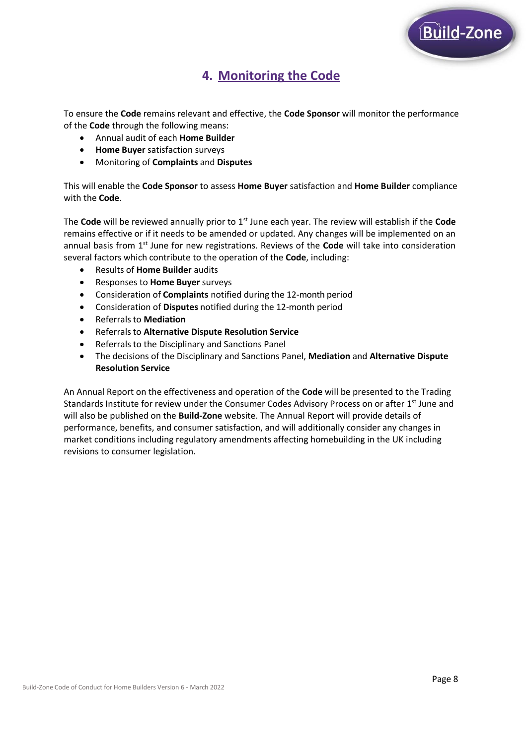

# **4. Monitoring the Code**

To ensure the **Code** remains relevant and effective, the **Code Sponsor** will monitor the performance of the **Code** through the following means:

- Annual audit of each **Home Builder**
- **Home Buyer** satisfaction surveys
- Monitoring of **Complaints** and **Disputes**

This will enable the **Code Sponsor** to assess **Home Buyer** satisfaction and **Home Builder** compliance with the **Code**.

The **Code** will be reviewed annually prior to 1st June each year. The review will establish if the **Code** remains effective or if it needs to be amended or updated. Any changes will be implemented on an annual basis from 1st June for new registrations. Reviews of the **Code** will take into consideration several factors which contribute to the operation of the **Code**, including:

- Results of **Home Builder** audits
- Responses to **Home Buyer** surveys
- Consideration of **Complaints** notified during the 12-month period
- Consideration of **Disputes** notified during the 12-month period
- Referralsto **Mediation**
- Referralsto **Alternative Dispute Resolution Service**
- Referrals to the Disciplinary and Sanctions Panel
- The decisions of the Disciplinary and Sanctions Panel, **Mediation** and **Alternative Dispute Resolution Service**

An Annual Report on the effectiveness and operation of the **Code** will be presented to the Trading Standards Institute for review under the Consumer Codes Advisory Process on or after  $1^\text{st}$  June and will also be published on the **Build-Zone** website. The Annual Report will provide details of performance, benefits, and consumer satisfaction, and will additionally consider any changes in market conditions including regulatory amendments affecting homebuilding in the UK including revisions to consumer legislation.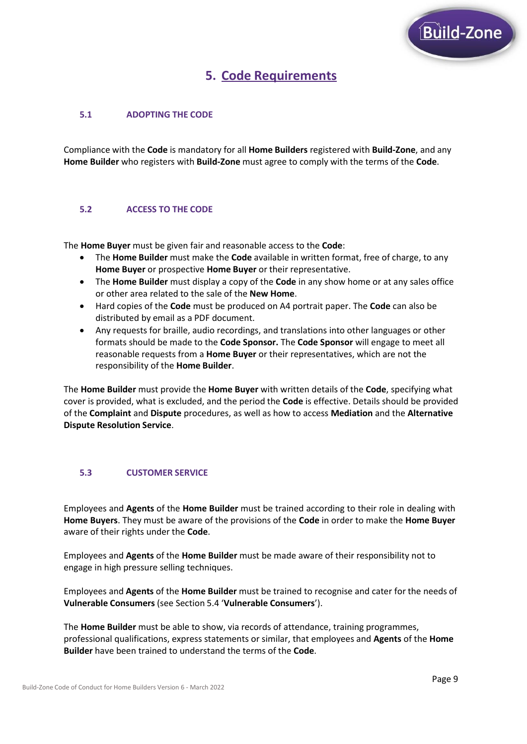

# **5. Code Requirements**

# **5.1 ADOPTING THE CODE**

Compliance with the **Code** is mandatory for all **Home Builders** registered with **Build-Zone**, and any **Home Builder** who registers with **Build-Zone** must agree to comply with the terms of the **Code**.

## **5.2 ACCESS TO THE CODE**

The **Home Buyer** must be given fair and reasonable access to the **Code**:

- The **Home Builder** must make the **Code** available in written format, free of charge, to any **Home Buyer** or prospective **Home Buyer** or their representative.
- The **Home Builder** must display a copy of the **Code** in any show home or at any sales office or other area related to the sale of the **New Home**.
- Hard copies of the **Code** must be produced on A4 portrait paper. The **Code** can also be distributed by email as a PDF document.
- Any requests for braille, audio recordings, and translations into other languages or other formats should be made to the **Code Sponsor.** The **Code Sponsor** will engage to meet all reasonable requests from a **Home Buyer** or their representatives, which are not the responsibility of the **Home Builder**.

The **Home Builder** must provide the **Home Buyer** with written details of the **Code**, specifying what cover is provided, what is excluded, and the period the **Code** is effective. Details should be provided of the **Complaint** and **Dispute** procedures, as well as how to access **Mediation** and the **Alternative Dispute Resolution Service**.

### **5.3 CUSTOMER SERVICE**

Employees and **Agents** of the **Home Builder** must be trained according to their role in dealing with **Home Buyers**. They must be aware of the provisions of the **Code** in order to make the **Home Buyer** aware of their rights under the **Code**.

Employees and **Agents** of the **Home Builder** must be made aware of their responsibility not to engage in high pressure selling techniques.

Employees and **Agents** of the **Home Builder** must be trained to recognise and cater for the needs of **Vulnerable Consumers** (see Section 5.4 '**Vulnerable Consumers**').

The **Home Builder** must be able to show, via records of attendance, training programmes, professional qualifications, express statements or similar, that employees and **Agents** of the **Home Builder** have been trained to understand the terms of the **Code**.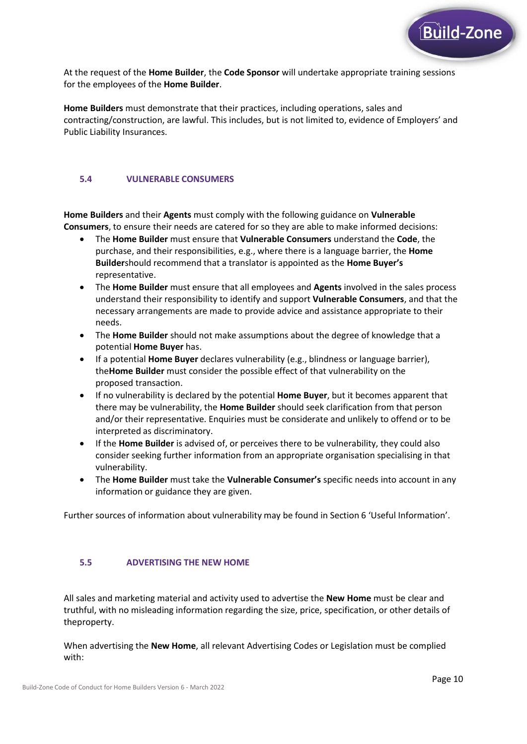

At the request of the **Home Builder**, the **Code Sponsor** will undertake appropriate training sessions for the employees of the **Home Builder**.

**Home Builders** must demonstrate that their practices, including operations, sales and contracting/construction, are lawful. This includes, but is not limited to, evidence of Employers' and Public Liability Insurances.

## **5.4 VULNERABLE CONSUMERS**

**Home Builders** and their **Agents** must comply with the following guidance on **Vulnerable Consumers**, to ensure their needs are catered for so they are able to make informed decisions:

- The **Home Builder** must ensure that **Vulnerable Consumers** understand the **Code**, the purchase, and their responsibilities, e.g., where there is a language barrier, the **Home Builder**should recommend that a translator is appointed as the **Home Buyer's** representative.
- The **Home Builder** must ensure that all employees and **Agents** involved in the sales process understand their responsibility to identify and support **Vulnerable Consumers**, and that the necessary arrangements are made to provide advice and assistance appropriate to their needs.
- The **Home Builder** should not make assumptions about the degree of knowledge that a potential **Home Buyer** has.
- If a potential **Home Buyer** declares vulnerability (e.g., blindness or language barrier), the**Home Builder** must consider the possible effect of that vulnerability on the proposed transaction.
- If no vulnerability is declared by the potential **Home Buyer**, but it becomes apparent that there may be vulnerability, the **Home Builder** should seek clarification from that person and/or their representative. Enquiries must be considerate and unlikely to offend or to be interpreted as discriminatory.
- If the **Home Builder** is advised of, or perceives there to be vulnerability, they could also consider seeking further information from an appropriate organisation specialising in that vulnerability.
- The **Home Builder** must take the **Vulnerable Consumer's** specific needs into account in any information or guidance they are given.

Further sources of information about vulnerability may be found in Section 6 'Useful Information'.

### **5.5 ADVERTISING THE NEW HOME**

All sales and marketing material and activity used to advertise the **New Home** must be clear and truthful, with no misleading information regarding the size, price, specification, or other details of theproperty.

When advertising the **New Home**, all relevant Advertising Codes or Legislation must be complied with: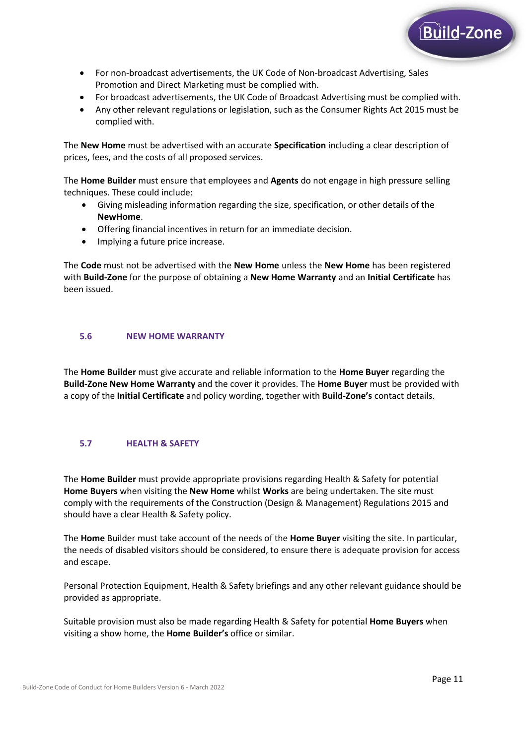

- For non-broadcast advertisements, the UK Code of Non-broadcast Advertising, Sales Promotion and Direct Marketing must be complied with.
- For broadcast advertisements, the UK Code of Broadcast Advertising must be complied with.
- Any other relevant regulations or legislation, such as the Consumer Rights Act 2015 must be complied with.

The **New Home** must be advertised with an accurate **Specification** including a clear description of prices, fees, and the costs of all proposed services.

The **Home Builder** must ensure that employees and **Agents** do not engage in high pressure selling techniques. These could include:

- Giving misleading information regarding the size, specification, or other details of the **NewHome**.
- Offering financial incentives in return for an immediate decision.
- Implying a future price increase.

The **Code** must not be advertised with the **New Home** unless the **New Home** has been registered with **Build-Zone** for the purpose of obtaining a **New Home Warranty** and an **Initial Certificate** has been issued.

### **5.6 NEW HOME WARRANTY**

The **Home Builder** must give accurate and reliable information to the **Home Buyer** regarding the **Build-Zone New Home Warranty** and the cover it provides. The **Home Buyer** must be provided with a copy of the **Initial Certificate** and policy wording, together with **Build-Zone's** contact details.

# **5.7 HEALTH & SAFETY**

The **Home Builder** must provide appropriate provisions regarding Health & Safety for potential **Home Buyers** when visiting the **New Home** whilst **Works** are being undertaken. The site must comply with the requirements of the Construction (Design & Management) Regulations 2015 and should have a clear Health & Safety policy.

The **Home** Builder must take account of the needs of the **Home Buyer** visiting the site. In particular, the needs of disabled visitors should be considered, to ensure there is adequate provision for access and escape.

Personal Protection Equipment, Health & Safety briefings and any other relevant guidance should be provided as appropriate.

Suitable provision must also be made regarding Health & Safety for potential **Home Buyers** when visiting a show home, the **Home Builder's** office or similar.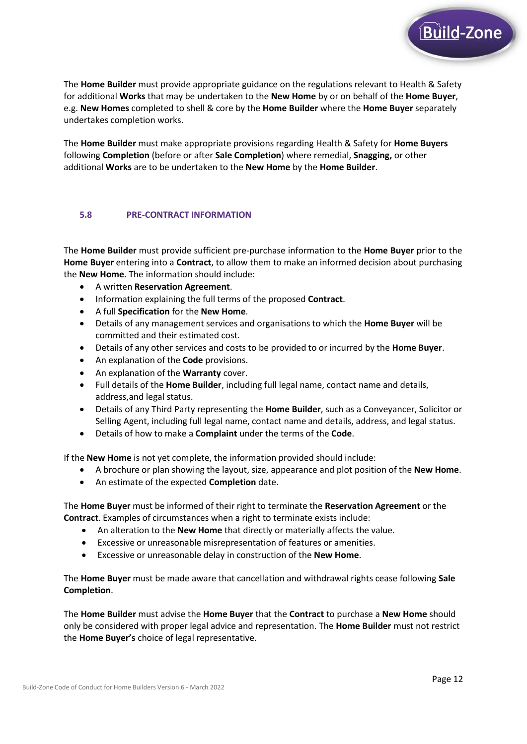

The **Home Builder** must make appropriate provisions regarding Health & Safety for **Home Buyers** following **Completion** (before or after **Sale Completion**) where remedial, **Snagging,** or other additional **Works** are to be undertaken to the **New Home** by the **Home Builder**.

### **5.8 PRE-CONTRACT INFORMATION**

The **Home Builder** must provide sufficient pre-purchase information to the **Home Buyer** prior to the **Home Buyer** entering into a **Contract**, to allow them to make an informed decision about purchasing the **New Home**. The information should include:

- A written **Reservation Agreement**.
- Information explaining the full terms of the proposed **Contract**.
- A full **Specification** for the **New Home**.
- Details of any management services and organisations to which the **Home Buyer** will be committed and their estimated cost.
- Details of any other services and costs to be provided to or incurred by the **Home Buyer**.
- An explanation of the **Code** provisions.
- An explanation of the **Warranty** cover.
- Full details of the **Home Builder**, including full legal name, contact name and details, address,and legal status.
- Details of any Third Party representing the **Home Builder**, such as a Conveyancer, Solicitor or Selling Agent, including full legal name, contact name and details, address, and legal status.
- Details of how to make a **Complaint** under the terms of the **Code**.

If the **New Home** is not yet complete, the information provided should include:

- A brochure or plan showing the layout, size, appearance and plot position of the **New Home**.
- An estimate of the expected **Completion** date.

The **Home Buyer** must be informed of their right to terminate the **Reservation Agreement** or the **Contract**. Examples of circumstances when a right to terminate exists include:

- An alteration to the **New Home** that directly or materially affects the value.
- Excessive or unreasonable misrepresentation of features or amenities.
- Excessive or unreasonable delay in construction of the **New Home**.

The **Home Buyer** must be made aware that cancellation and withdrawal rights cease following **Sale Completion**.

The **Home Builder** must advise the **Home Buyer** that the **Contract** to purchase a **New Home** should only be considered with proper legal advice and representation. The **Home Builder** must not restrict the **Home Buyer's** choice of legal representative.

Build-Zone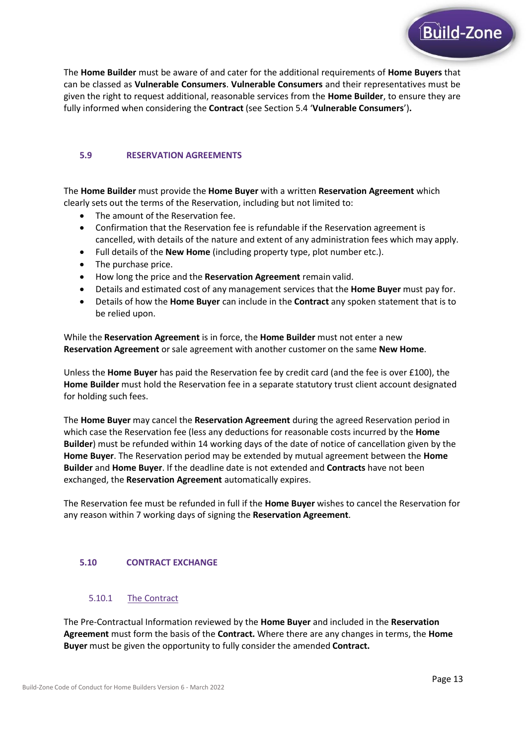

#### **5.9 RESERVATION AGREEMENTS**

The **Home Builder** must provide the **Home Buyer** with a written **Reservation Agreement** which clearly sets out the terms of the Reservation, including but not limited to:

- The amount of the Reservation fee.
- Confirmation that the Reservation fee is refundable if the Reservation agreement is cancelled, with details of the nature and extent of any administration fees which may apply.
- Full details of the **New Home** (including property type, plot number etc.).
- The purchase price.
- How long the price and the **Reservation Agreement** remain valid.
- Details and estimated cost of any management services that the **Home Buyer** must pay for.
- Details of how the **Home Buyer** can include in the **Contract** any spoken statement that is to be relied upon.

While the **Reservation Agreement** is in force, the **Home Builder** must not enter a new **Reservation Agreement** orsale agreement with another customer on the same **New Home**.

Unless the **Home Buyer** has paid the Reservation fee by credit card (and the fee is over £100), the **Home Builder** must hold the Reservation fee in a separate statutory trust client account designated for holding such fees.

The **Home Buyer** may cancel the **Reservation Agreement** during the agreed Reservation period in which case the Reservation fee (less any deductions for reasonable costs incurred by the **Home Builder**) must be refunded within 14 working days of the date of notice of cancellation given by the **Home Buyer**. The Reservation period may be extended by mutual agreement between the **Home Builder** and **Home Buyer**. If the deadline date is not extended and **Contracts** have not been exchanged, the **Reservation Agreement** automatically expires.

The Reservation fee must be refunded in full if the **Home Buyer** wishes to cancel the Reservation for any reason within 7 working days of signing the **Reservation Agreement**.

#### **5.10 CONTRACT EXCHANGE**

### 5.10.1 The Contract

The Pre-Contractual Information reviewed by the **Home Buyer** and included in the **Reservation Agreement** must form the basis of the **Contract.** Where there are any changes in terms, the **Home Buyer** must be given the opportunity to fully consider the amended **Contract.**

Build-Zone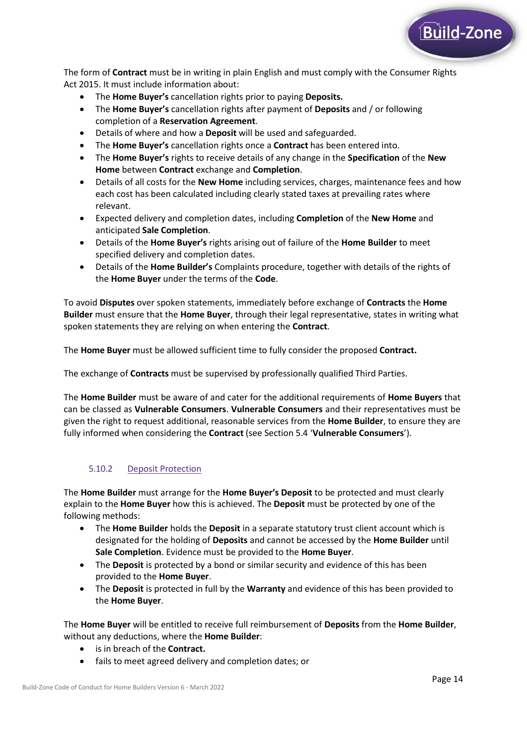

The form of **Contract** must be in writing in plain English and must comply with the Consumer Rights Act 2015. It must include information about:

- The **Home Buyer's** cancellation rights prior to paying **Deposits.**
- The **Home Buyer's** cancellation rights after payment of **Deposits** and / or following completion of a **Reservation Agreement**.
- Details of where and how a **Deposit** will be used and safeguarded.
- The **Home Buyer's** cancellation rights once a **Contract** has been entered into.
- The **Home Buyer's** rights to receive details of any change in the **Specification** of the **New Home** between **Contract** exchange and **Completion**.
- Details of all costs for the **New Home** including services, charges, maintenance fees and how each cost has been calculated including clearly stated taxes at prevailing rates where relevant.
- Expected delivery and completion dates, including **Completion** of the **New Home** and anticipated **Sale Completion**.
- Details of the **Home Buyer's** rights arising out of failure of the **Home Builder** to meet specified delivery and completion dates.
- Details of the **Home Builder's** Complaints procedure, together with details of the rights of the **Home Buyer** under the terms of the **Code**.

To avoid **Disputes** over spoken statements, immediately before exchange of **Contracts** the **Home Builder** must ensure that the **Home Buyer**, through their legal representative, states in writing what spoken statements they are relying on when entering the **Contract**.

The **Home Buyer** must be allowed sufficient time to fully consider the proposed **Contract.**

The exchange of **Contracts** must be supervised by professionally qualified Third Parties.

The **Home Builder** must be aware of and cater for the additional requirements of **Home Buyers** that can be classed as **Vulnerable Consumers**. **Vulnerable Consumers** and their representatives must be given the right to request additional, reasonable services from the **Home Builder**, to ensure they are fully informed when considering the **Contract** (see Section 5.4 '**Vulnerable Consumers**').

# 5.10.2 Deposit Protection

The **Home Builder** must arrange for the **Home Buyer's Deposit** to be protected and must clearly explain to the **Home Buyer** how this is achieved. The **Deposit** must be protected by one of the following methods:

- The **Home Builder** holds the **Deposit** in a separate statutory trust client account which is designated for the holding of **Deposits** and cannot be accessed by the **Home Builder** until **Sale Completion**. Evidence must be provided to the **Home Buyer**.
- The Deposit is protected by a bond or similar security and evidence of this has been provided to the **Home Buyer**.
- The **Deposit** is protected in full by the **Warranty** and evidence of this has been provided to the **Home Buyer**.

The **Home Buyer** will be entitled to receive full reimbursement of **Deposits** from the **Home Builder**, without any deductions, where the **Home Builder**:

- is in breach of the **Contract.**
- fails to meet agreed delivery and completion dates; or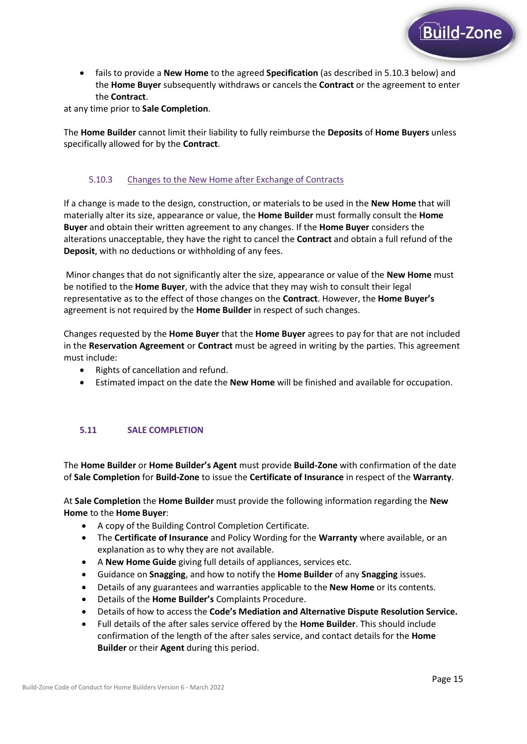

• fails to provide a **New Home** to the agreed **Specification** (as described in 5.10.3 below) and the **Home Buyer** subsequently withdraws or cancels the **Contract** or the agreement to enter the **Contract**.

at any time prior to **Sale Completion**.

The **Home Builder** cannot limit their liability to fully reimburse the **Deposits** of **Home Buyers** unless specifically allowed for by the **Contract**.

# 5.10.3 Changes to the New Home after Exchange of Contracts

If a change is made to the design, construction, or materials to be used in the **New Home** that will materially alter its size, appearance or value, the **Home Builder** must formally consult the **Home Buyer** and obtain their written agreement to any changes. If the **Home Buyer** considers the alterations unacceptable, they have the right to cancel the **Contract** and obtain a full refund of the **Deposit**, with no deductions or withholding of any fees.

Minor changes that do not significantly alter the size, appearance or value of the **New Home** must be notified to the **Home Buyer**, with the advice that they may wish to consult their legal representative as to the effect of those changes on the **Contract**. However, the **Home Buyer's** agreement is not required by the **Home Builder** in respect of such changes.

Changes requested by the **Home Buyer** that the **Home Buyer** agrees to pay for that are not included in the **Reservation Agreement** or **Contract** must be agreed in writing by the parties. This agreement must include:

- Rights of cancellation and refund.
- Estimated impact on the date the **New Home** will be finished and available for occupation.

### **5.11 SALE COMPLETION**

The **Home Builder** or **Home Builder's Agent** must provide **Build-Zone** with confirmation of the date of **Sale Completion** for **Build-Zone** to issue the **Certificate of Insurance** in respect of the **Warranty**.

At **Sale Completion** the **Home Builder** must provide the following information regarding the **New Home** to the **Home Buyer**:

- A copy of the Building Control Completion Certificate.
- The **Certificate of Insurance** and Policy Wording for the **Warranty** where available, or an explanation as to why they are not available.
- A **New Home Guide** giving full details of appliances, services etc.
- Guidance on **Snagging**, and how to notify the **Home Builder** of any **Snagging** issues.
- Details of any guarantees and warranties applicable to the **New Home** or its contents.
- Details of the **Home Builder's** Complaints Procedure.
- Details of how to access the **Code's Mediation and Alternative Dispute Resolution Service.**
- Full details of the after sales service offered by the **Home Builder**. This should include confirmation of the length of the after sales service, and contact details for the **Home Builder** or their **Agent** during this period.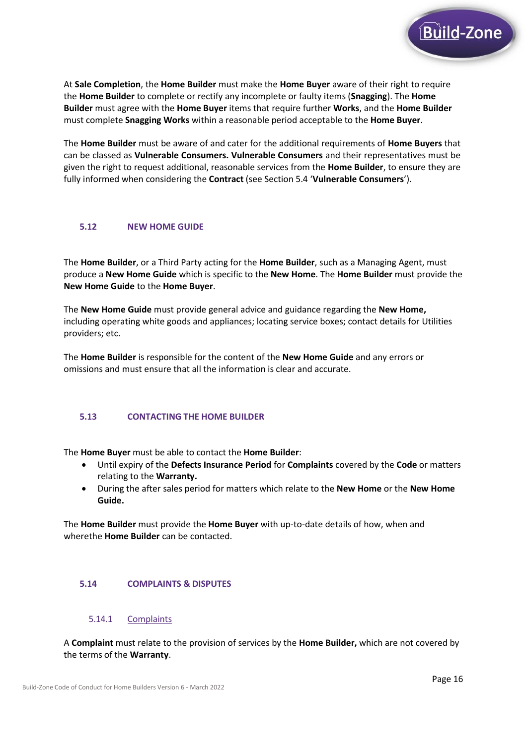

At **Sale Completion**, the **Home Builder** must make the **Home Buyer** aware of their right to require the **Home Builder** to complete or rectify any incomplete or faulty items (**Snagging**). The **Home Builder** must agree with the **Home Buyer** items that require further **Works**, and the **Home Builder** must complete **Snagging Works** within a reasonable period acceptable to the **Home Buyer**.

The **Home Builder** must be aware of and cater for the additional requirements of **Home Buyers** that can be classed as **Vulnerable Consumers. Vulnerable Consumers** and their representatives must be given the right to request additional, reasonable services from the **Home Builder**, to ensure they are fully informed when considering the **Contract** (see Section 5.4 '**Vulnerable Consumers**').

### **5.12 NEW HOME GUIDE**

The **Home Builder**, or a Third Party acting for the **Home Builder**, such as a Managing Agent, must produce a **New Home Guide** which is specific to the **New Home**. The **Home Builder** must provide the **New Home Guide** to the **Home Buyer**.

The **New Home Guide** must provide general advice and guidance regarding the **New Home,** including operating white goods and appliances; locating service boxes; contact details for Utilities providers; etc.

The **Home Builder** is responsible for the content of the **New Home Guide** and any errors or omissions and must ensure that all the information is clear and accurate.

### **5.13 CONTACTING THE HOME BUILDER**

The **Home Buyer** must be able to contact the **Home Builder**:

- Until expiry of the **Defects Insurance Period** for **Complaints** covered by the **Code** or matters relating to the **Warranty.**
- During the after sales period for matters which relate to the **New Home** or the **New Home Guide.**

The **Home Builder** must provide the **Home Buyer** with up-to-date details of how, when and wherethe **Home Builder** can be contacted.

#### **5.14 COMPLAINTS & DISPUTES**

#### 5.14.1 Complaints

A **Complaint** must relate to the provision of services by the **Home Builder,** which are not covered by the terms of the **Warranty**.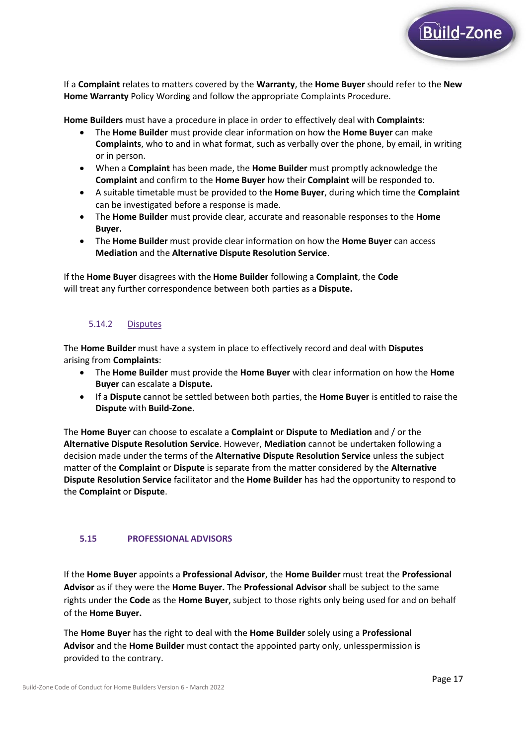

If a **Complaint** relates to matters covered by the **Warranty**, the **Home Buyer** should refer to the **New Home Warranty** Policy Wording and follow the appropriate Complaints Procedure.

**Home Builders** must have a procedure in place in order to effectively deal with **Complaints**:

- The **Home Builder** must provide clear information on how the **Home Buyer** can make **Complaints**, who to and in what format, such as verbally over the phone, by email, in writing or in person.
- When a **Complaint** has been made, the **Home Builder** must promptly acknowledge the **Complaint** and confirm to the **Home Buyer** how their **Complaint** will be responded to.
- A suitable timetable must be provided to the **Home Buyer**, during which time the **Complaint** can be investigated before a response is made.
- The **Home Builder** must provide clear, accurate and reasonable responses to the **Home Buyer.**
- The **Home Builder** must provide clear information on how the **Home Buyer** can access **Mediation** and the **Alternative Dispute Resolution Service**.

If the **Home Buyer** disagrees with the **Home Builder** following a **Complaint**, the **Code** will treat any further correspondence between both parties as a **Dispute.**

## 5.14.2 Disputes

The **Home Builder** must have a system in place to effectively record and deal with **Disputes** arising from **Complaints**:

- The **Home Builder** must provide the **Home Buyer** with clear information on how the **Home Buyer** can escalate a **Dispute.**
- If a **Dispute** cannot be settled between both parties, the **Home Buyer** is entitled to raise the **Dispute** with **Build-Zone.**

The **Home Buyer** can choose to escalate a **Complaint** or **Dispute** to **Mediation** and / or the **Alternative Dispute Resolution Service**. However, **Mediation** cannot be undertaken following a decision made under the terms of the **Alternative Dispute Resolution Service** unless the subject matter of the **Complaint** or **Dispute** is separate from the matter considered by the **Alternative Dispute Resolution Service** facilitator and the **Home Builder** has had the opportunity to respond to the **Complaint** or **Dispute**.

### **5.15 PROFESSIONAL ADVISORS**

If the **Home Buyer** appoints a **Professional Advisor**, the **Home Builder** must treat the **Professional Advisor** as if they were the **Home Buyer.** The **Professional Advisor** shall be subject to the same rights under the **Code** as the **Home Buyer**, subject to those rights only being used for and on behalf of the **Home Buyer.**

The **Home Buyer** has the right to deal with the **Home Builder** solely using a **Professional Advisor** and the **Home Builder** must contact the appointed party only, unlesspermission is provided to the contrary.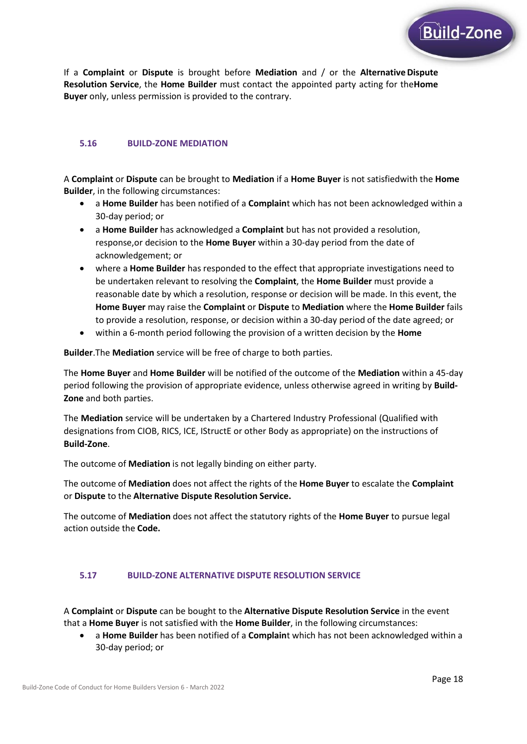

#### **5.16 BUILD-ZONE MEDIATION**

A **Complaint** or **Dispute** can be brought to **Mediation** if a **Home Buyer** is not satisfiedwith the **Home Builder**, in the following circumstances:

- a **Home Builder** has been notified of a **Complain**t which has not been acknowledged within a 30-day period; or
- a **Home Builder** has acknowledged a **Complaint** but has not provided a resolution, response,or decision to the **Home Buyer** within a 30-day period from the date of acknowledgement; or
- where a **Home Builder** has responded to the effect that appropriate investigations need to be undertaken relevant to resolving the **Complaint**, the **Home Builder** must provide a reasonable date by which a resolution, response or decision will be made. In this event, the **Home Buyer** may raise the **Complaint** or **Dispute** to **Mediation** where the **Home Builder** fails to provide a resolution, response, or decision within a 30-day period of the date agreed; or
- within a 6-month period following the provision of a written decision by the **Home**

**Builder**.The **Mediation** service will be free of charge to both parties.

The **Home Buyer** and **Home Builder** will be notified of the outcome of the **Mediation** within a 45-day period following the provision of appropriate evidence, unless otherwise agreed in writing by **Build-Zone** and both parties.

The **Mediation** service will be undertaken by a Chartered Industry Professional (Qualified with designations from CIOB, RICS, ICE, IStructE or other Body as appropriate) on the instructions of **Build-Zone**.

The outcome of **Mediation** is not legally binding on either party.

The outcome of **Mediation** does not affect the rights of the **Home Buyer** to escalate the **Complaint** or **Dispute** to the **Alternative Dispute Resolution Service.**

The outcome of **Mediation** does not affect the statutory rights of the **Home Buyer** to pursue legal action outside the **Code.**

#### **5.17 BUILD-ZONE ALTERNATIVE DISPUTE RESOLUTION SERVICE**

A **Complaint** or **Dispute** can be bought to the **Alternative Dispute Resolution Service** in the event that a **Home Buyer** is not satisfied with the **Home Builder**, in the following circumstances:

• a **Home Builder** has been notified of a **Complain**t which has not been acknowledged within a 30-day period; or

Build-Zone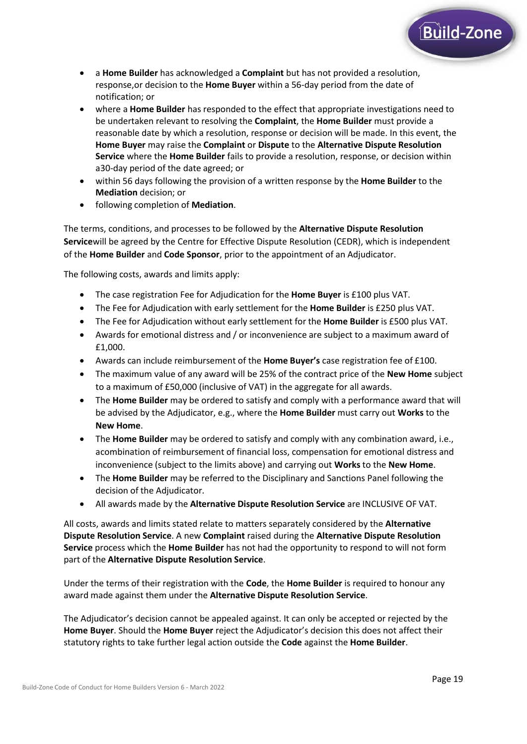- a **Home Builder** has acknowledged a **Complaint** but has not provided a resolution, response,or decision to the **Home Buyer** within a 56-day period from the date of notification; or
- where a **Home Builder** has responded to the effect that appropriate investigations need to be undertaken relevant to resolving the **Complaint**, the **Home Builder** must provide a reasonable date by which a resolution, response or decision will be made. In this event, the **Home Buyer** may raise the **Complaint** or **Dispute** to the **Alternative Dispute Resolution Service** where the **Home Builder** fails to provide a resolution, response, or decision within a30-day period of the date agreed; or
- within 56 days following the provision of a written response by the **Home Builder** to the **Mediation** decision; or
- following completion of **Mediation**.

The terms, conditions, and processes to be followed by the **Alternative Dispute Resolution Service**will be agreed by the Centre for Effective Dispute Resolution (CEDR), which is independent of the **Home Builder** and **Code Sponsor**, prior to the appointment of an Adjudicator.

The following costs, awards and limits apply:

- The case registration Fee for Adjudication for the **Home Buyer** is £100 plus VAT.
- The Fee for Adjudication with early settlement for the **Home Builder** is £250 plus VAT.
- The Fee for Adjudication without early settlement for the **Home Builder** is £500 plus VAT.
- Awards for emotional distress and / or inconvenience are subject to a maximum award of £1,000.
- Awards can include reimbursement of the **Home Buyer's** case registration fee of £100.
- The maximum value of any award will be 25% of the contract price of the **New Home** subject to a maximum of £50,000 (inclusive of VAT) in the aggregate for all awards.
- The **Home Builder** may be ordered to satisfy and comply with a performance award that will be advised by the Adjudicator, e.g., where the **Home Builder** must carry out **Works** to the **New Home**.
- The **Home Builder** may be ordered to satisfy and comply with any combination award, i.e., acombination of reimbursement of financial loss, compensation for emotional distress and inconvenience (subject to the limits above) and carrying out **Works** to the **New Home**.
- The **Home Builder** may be referred to the Disciplinary and Sanctions Panel following the decision of the Adjudicator.
- All awards made by the **Alternative Dispute Resolution Service** are INCLUSIVE OF VAT.

All costs, awards and limits stated relate to matters separately considered by the **Alternative Dispute Resolution Service**. A new **Complaint** raised during the **Alternative Dispute Resolution Service** process which the **Home Builder** has not had the opportunity to respond to will not form part of the **Alternative Dispute Resolution Service**.

Under the terms of their registration with the **Code**, the **Home Builder** is required to honour any award made against them under the **Alternative Dispute Resolution Service**.

The Adjudicator's decision cannot be appealed against. It can only be accepted or rejected by the **Home Buyer**. Should the **Home Buyer** reject the Adjudicator's decision this does not affect their statutory rights to take further legal action outside the **Code** against the **Home Builder**.

Build-Zone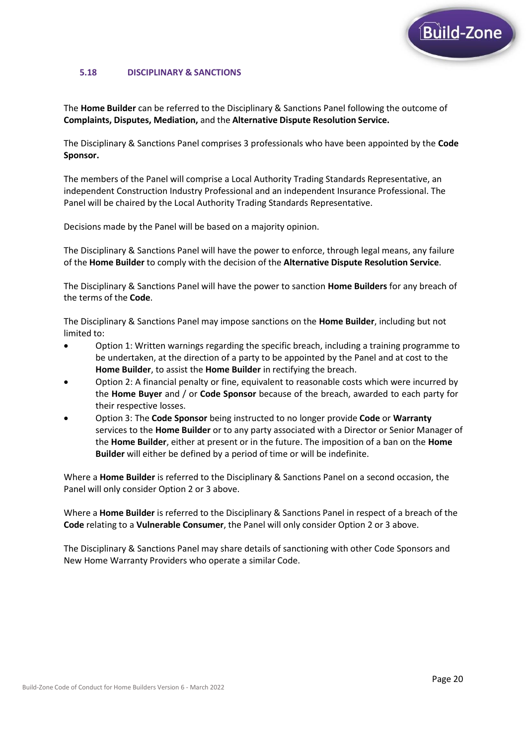

## **5.18 DISCIPLINARY & SANCTIONS**

The **Home Builder** can be referred to the Disciplinary & Sanctions Panel following the outcome of **Complaints, Disputes, Mediation,** and the **Alternative Dispute Resolution Service.**

The Disciplinary & Sanctions Panel comprises 3 professionals who have been appointed by the **Code Sponsor.**

The members of the Panel will comprise a Local Authority Trading Standards Representative, an independent Construction Industry Professional and an independent Insurance Professional. The Panel will be chaired by the Local Authority Trading Standards Representative.

Decisions made by the Panel will be based on a majority opinion.

The Disciplinary & Sanctions Panel will have the power to enforce, through legal means, any failure of the **Home Builder** to comply with the decision of the **Alternative Dispute Resolution Service**.

The Disciplinary & Sanctions Panel will have the power to sanction **Home Builders** for any breach of the terms of the **Code**.

The Disciplinary & Sanctions Panel may impose sanctions on the **Home Builder**, including but not limited to:

- Option 1: Written warnings regarding the specific breach, including a training programme to be undertaken, at the direction of a party to be appointed by the Panel and at cost to the **Home Builder**, to assist the **Home Builder** in rectifying the breach.
- Option 2: A financial penalty or fine, equivalent to reasonable costs which were incurred by the **Home Buyer** and / or **Code Sponsor** because of the breach, awarded to each party for their respective losses.
- Option 3: The **Code Sponsor** being instructed to no longer provide **Code** or **Warranty** services to the **Home Builder** or to any party associated with a Director or Senior Manager of the **Home Builder**, either at present or in the future. The imposition of a ban on the **Home Builder** will either be defined by a period of time or will be indefinite.

Where a **Home Builder** is referred to the Disciplinary & Sanctions Panel on a second occasion, the Panel will only consider Option 2 or 3 above.

Where a **Home Builder** is referred to the Disciplinary & Sanctions Panel in respect of a breach of the **Code** relating to a **Vulnerable Consumer**, the Panel will only consider Option 2 or 3 above.

The Disciplinary & Sanctions Panel may share details of sanctioning with other Code Sponsors and New Home Warranty Providers who operate a similar Code.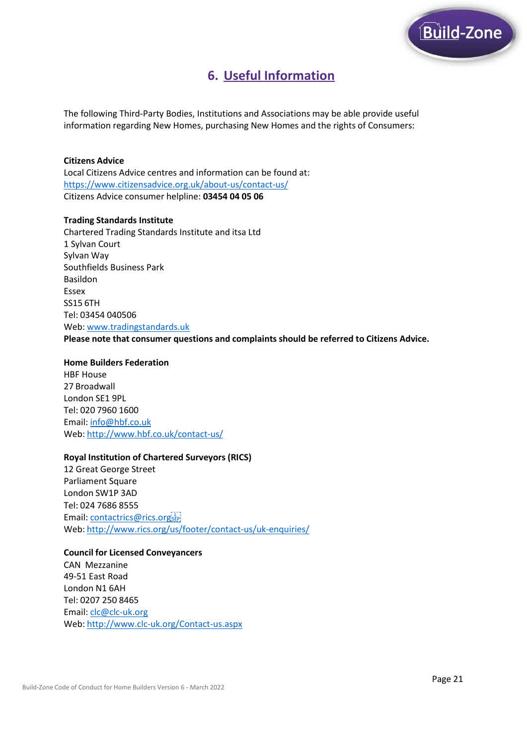

# **6. Useful Information**

The following Third-Party Bodies, Institutions and Associations may be able provide useful information regarding New Homes, purchasing New Homes and the rights of Consumers:

#### **Citizens Advice**

Local Citizens Advice centres and information can be found at: <https://www.citizensadvice.org.uk/about-us/contact-us/> Citizens Advice consumer helpline: **03454 04 05 06**

#### **Trading Standards Institute**

Chartered Trading Standards Institute and itsa Ltd 1 Sylvan Court Sylvan Way Southfields Business Park Basildon Essex SS15 6TH Tel: 03454 040506 Web: [www.tradingstandards.uk](http://www.tradingstandards.uk/) **Please note that consumer questions and complaints should be referred to Citizens Advice.**

#### **Home Builders Federation**

HBF House 27 Broadwall London SE1 9PL Tel: 020 7960 1600 Email: [info@hbf.co.uk](mailto:info@hbf.co.uk) Web: <http://www.hbf.co.uk/contact-us/>

#### **Royal Institution of Chartered Surveyors (RICS)**

12 Great George Street Parliament Square London SW1P 3AD Tel: 024 7686 8555 Email: [contactrics@rics.org](mailto:contactrics@rics.org)sEPWeb: <http://www.rics.org/us/footer/contact-us/uk-enquiries/>

#### **Council for Licensed Conveyancers**

CAN Mezzanine 49-51 East Road London N1 6AH Tel: 0207 250 8465 Email: [clc@clc-uk.org](mailto:clc@clc-uk.org) Web: <http://www.clc-uk.org/Contact-us.aspx>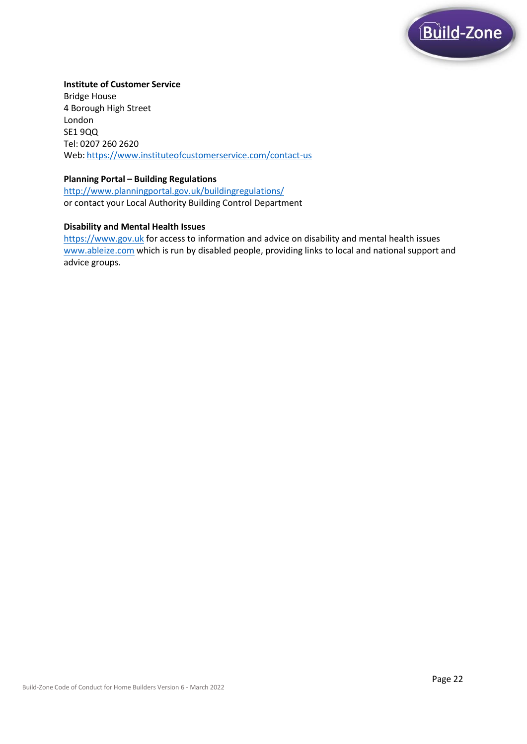

### **Institute of Customer Service**

Bridge House 4 Borough High Street London SE1 9QQ Tel: 0207 260 2620 Web: <https://www.instituteofcustomerservice.com/contact-us>

#### **Planning Portal – Building Regulations**

<http://www.planningportal.gov.uk/buildingregulations/> or contact your Local Authority Building Control Department

### **Disability and Mental Health Issues**

[https://www.gov.uk](https://www.gov.uk/) for access to information and advice on disability and mental health issues [www.ableize.com](http://www.ableize.com/) which is run by disabled people, providing links to local and national support and advice groups.